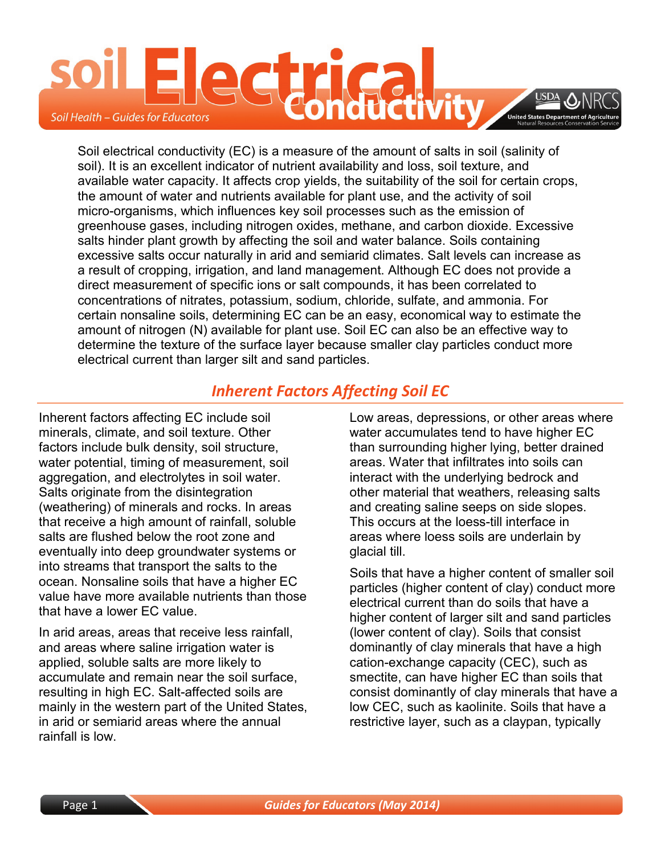

Soil electrical conductivity (EC) is a measure of the amount of salts in soil (salinity of soil). It is an excellent indicator of nutrient availability and loss, soil texture, and available water capacity. It affects crop yields, the suitability of the soil for certain crops, the amount of water and nutrients available for plant use, and the activity of soil micro-organisms, which influences key soil processes such as the emission of greenhouse gases, including nitrogen oxides, methane, and carbon dioxide. Excessive salts hinder plant growth by affecting the soil and water balance. Soils containing excessive salts occur naturally in arid and semiarid climates. Salt levels can increase as a result of cropping, irrigation, and land management. Although EC does not provide a direct measurement of specific ions or salt compounds, it has been correlated to concentrations of nitrates, potassium, sodium, chloride, sulfate, and ammonia. For certain nonsaline soils, determining EC can be an easy, economical way to estimate the amount of nitrogen (N) available for plant use. Soil EC can also be an effective way to determine the texture of the surface layer because smaller clay particles conduct more electrical current than larger silt and sand particles.

### *Inherent Factors Affecting Soil EC*

Inherent factors affecting EC include soil minerals, climate, and soil texture. Other factors include bulk density, soil structure, water potential, timing of measurement, soil aggregation, and electrolytes in soil water. Salts originate from the disintegration (weathering) of minerals and rocks. In areas that receive a high amount of rainfall, soluble salts are flushed below the root zone and eventually into deep groundwater systems or into streams that transport the salts to the ocean. Nonsaline soils that have a higher EC value have more available nutrients than those that have a lower EC value.

In arid areas, areas that receive less rainfall, and areas where saline irrigation water is applied, soluble salts are more likely to accumulate and remain near the soil surface, resulting in high EC. Salt-affected soils are mainly in the western part of the United States, in arid or semiarid areas where the annual rainfall is low.

Low areas, depressions, or other areas where water accumulates tend to have higher EC than surrounding higher lying, better drained areas. Water that infiltrates into soils can interact with the underlying bedrock and other material that weathers, releasing salts and creating saline seeps on side slopes. This occurs at the loess-till interface in areas where loess soils are underlain by glacial till.

Soils that have a higher content of smaller soil particles (higher content of clay) conduct more electrical current than do soils that have a higher content of larger silt and sand particles (lower content of clay). Soils that consist dominantly of clay minerals that have a high cation-exchange capacity (CEC), such as smectite, can have higher EC than soils that consist dominantly of clay minerals that have a low CEC, such as kaolinite. Soils that have a restrictive layer, such as a claypan, typically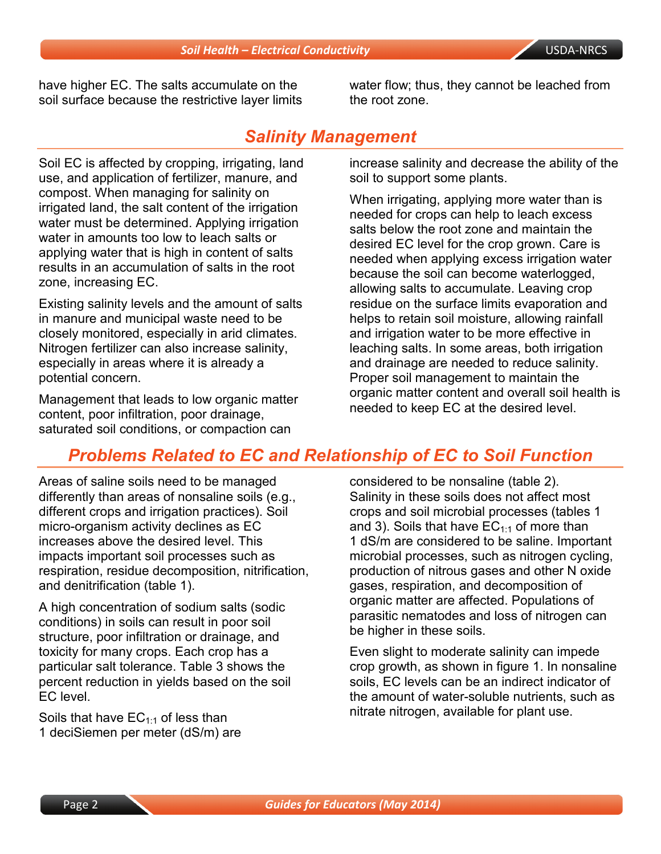have higher EC. The salts accumulate on the soil surface because the restrictive layer limits water flow; thus, they cannot be leached from the root zone.

### *Salinity Management*

Soil EC is affected by cropping, irrigating, land use, and application of fertilizer, manure, and compost. When managing for salinity on irrigated land, the salt content of the irrigation water must be determined. Applying irrigation water in amounts too low to leach salts or applying water that is high in content of salts results in an accumulation of salts in the root zone, increasing EC.

Existing salinity levels and the amount of salts in manure and municipal waste need to be closely monitored, especially in arid climates. Nitrogen fertilizer can also increase salinity, especially in areas where it is already a potential concern.

Management that leads to low organic matter content, poor infiltration, poor drainage, saturated soil conditions, or compaction can

increase salinity and decrease the ability of the soil to support some plants.

When irrigating, applying more water than is needed for crops can help to leach excess salts below the root zone and maintain the desired EC level for the crop grown. Care is needed when applying excess irrigation water because the soil can become waterlogged, allowing salts to accumulate. Leaving crop residue on the surface limits evaporation and helps to retain soil moisture, allowing rainfall and irrigation water to be more effective in leaching salts. In some areas, both irrigation and drainage are needed to reduce salinity. Proper soil management to maintain the organic matter content and overall soil health is needed to keep EC at the desired level.

## *Problems Related to EC and Relationship of EC to Soil Function*

Areas of saline soils need to be managed differently than areas of nonsaline soils (e.g., different crops and irrigation practices). Soil micro-organism activity declines as EC increases above the desired level. This impacts important soil processes such as respiration, residue decomposition, nitrification, and denitrification (table 1).

A high concentration of sodium salts (sodic conditions) in soils can result in poor soil structure, poor infiltration or drainage, and toxicity for many crops. Each crop has a particular salt tolerance. Table 3 shows the percent reduction in yields based on the soil EC level.

Soils that have  $EC_{1:1}$  of less than 1 deciSiemen per meter (dS/m) are considered to be nonsaline (table 2). Salinity in these soils does not affect most crops and soil microbial processes (tables 1 and 3). Soils that have  $EC_{1:1}$  of more than 1 dS/m are considered to be saline. Important microbial processes, such as nitrogen cycling, production of nitrous gases and other N oxide gases, respiration, and decomposition of organic matter are affected. Populations of parasitic nematodes and loss of nitrogen can be higher in these soils.

Even slight to moderate salinity can impede crop growth, as shown in figure 1. In nonsaline soils, EC levels can be an indirect indicator of the amount of water-soluble nutrients, such as nitrate nitrogen, available for plant use.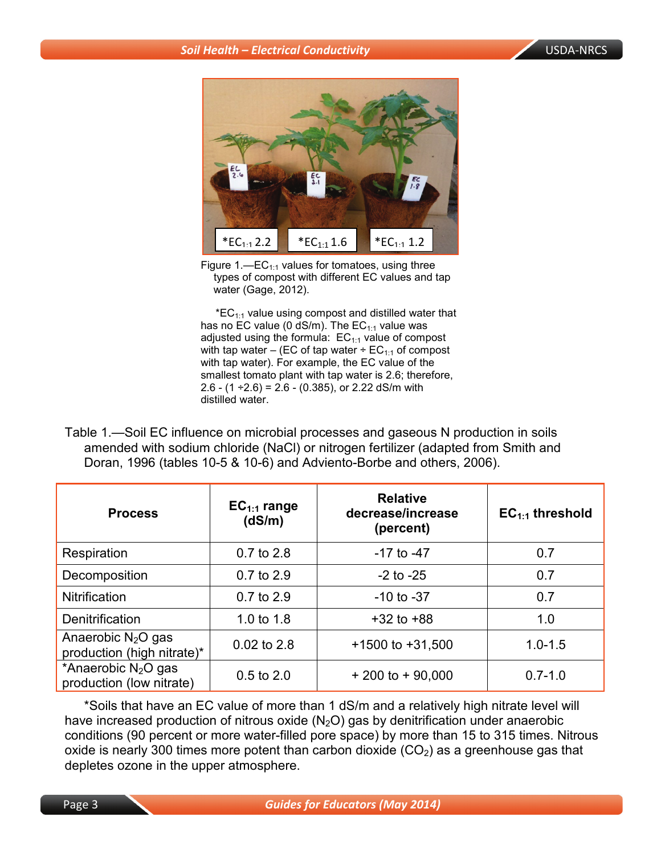

Figure 1.—EC<sub>1:1</sub> values for tomatoes, using three types of compost with different EC values and tap water (Gage, 2012).

 $*EC_{1:1}$  value using compost and distilled water that has no EC value (0 dS/m). The  $EC_{1:1}$  value was adjusted using the formula:  $EC_{1:1}$  value of compost with tap water – (EC of tap water  $\div$  EC<sub>1:1</sub> of compost with tap water). For example, the EC value of the smallest tomato plant with tap water is 2.6; therefore, 2.6 -  $(1 \div 2.6)$  = 2.6 -  $(0.385)$ , or 2.22 dS/m with distilled water.

Table 1.—Soil EC influence on microbial processes and gaseous N production in soils amended with sodium chloride (NaCl) or nitrogen fertilizer (adapted from Smith and Doran, 1996 (tables 10-5 & 10-6) and Adviento-Borbe and others, 2006).

| <b>Process</b>                                              | $EC_{1:1}$ range<br>(dS/m) | <b>Relative</b><br>decrease/increase<br>(percent) | $EC_{1:1}$ threshold |  |
|-------------------------------------------------------------|----------------------------|---------------------------------------------------|----------------------|--|
| Respiration                                                 | $0.7$ to 2.8               | $-17$ to $-47$                                    | 0.7                  |  |
| Decomposition                                               | 0.7 to 2.9                 | $-2$ to $-25$                                     | 0.7                  |  |
| <b>Nitrification</b>                                        | 0.7 to 2.9                 | $-10$ to $-37$                                    | 0.7                  |  |
| <b>Denitrification</b>                                      | 1.0 to 1.8                 | $+32$ to $+88$                                    | 1.0                  |  |
| Anaerobic $N_2O$ gas<br>production (high nitrate)*          | $0.02$ to 2.8              | $+1500$ to $+31,500$                              | $1.0 - 1.5$          |  |
| *Anaerobic N <sub>2</sub> O gas<br>production (low nitrate) | $0.5$ to $2.0$             | $+200$ to $+90,000$                               | $0.7 - 1.0$          |  |

\*Soils that have an EC value of more than 1 dS/m and a relatively high nitrate level will have increased production of nitrous oxide  $(N_2O)$  gas by denitrification under anaerobic conditions (90 percent or more water-filled pore space) by more than 15 to 315 times. Nitrous oxide is nearly 300 times more potent than carbon dioxide  $(CO<sub>2</sub>)$  as a greenhouse gas that depletes ozone in the upper atmosphere.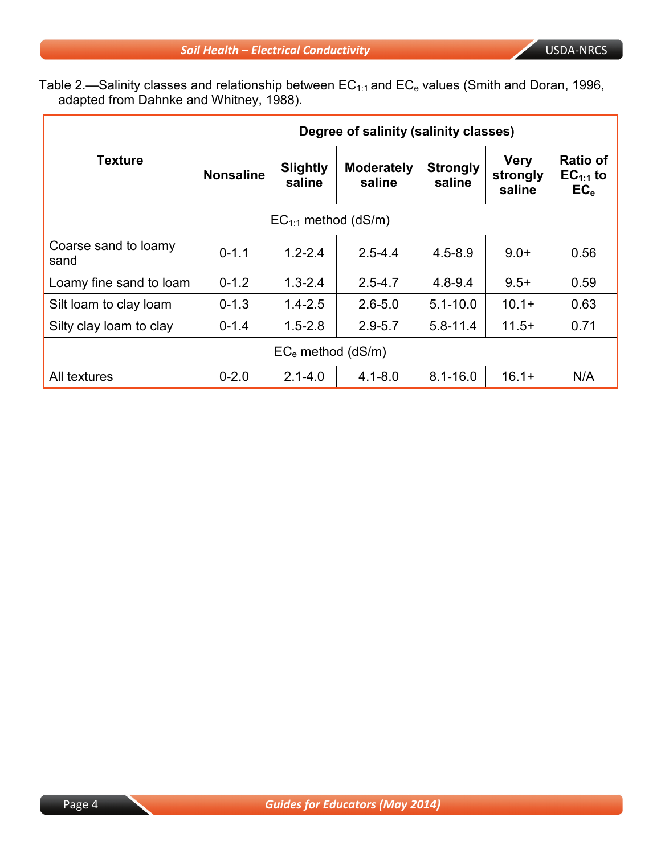Table 2.—Salinity classes and relationship between  $\mathsf{EC}_{1:1}$  and  $\mathsf{EC}_\mathrm{e}$  values (Smith and Doran, 1996, adapted from Dahnke and Whitney, 1988).

|                              | Degree of salinity (salinity classes) |                           |                             |                           |                                   |                                                     |  |  |
|------------------------------|---------------------------------------|---------------------------|-----------------------------|---------------------------|-----------------------------------|-----------------------------------------------------|--|--|
| <b>Texture</b>               | <b>Nonsaline</b>                      | <b>Slightly</b><br>saline | <b>Moderately</b><br>saline | <b>Strongly</b><br>saline | <b>Very</b><br>strongly<br>saline | <b>Ratio of</b><br>$EC_{1:1}$ to<br>EC <sub>e</sub> |  |  |
| $EC_{1:1}$ method (dS/m)     |                                       |                           |                             |                           |                                   |                                                     |  |  |
| Coarse sand to loamy<br>sand | $1.2 - 2.4$<br>$0 - 1.1$              |                           | $2.5 - 4.4$                 | $4.5 - 8.9$               | $9.0+$                            | 0.56                                                |  |  |
| Loamy fine sand to loam      | $0 - 1.2$                             | $1.3 - 2.4$               | $2.5 - 4.7$                 | $4.8 - 9.4$               | $9.5+$                            | 0.59                                                |  |  |
| Silt loam to clay loam       | $0 - 1.3$                             | $1.4 - 2.5$               | $2.6 - 5.0$                 | $5.1 - 10.0$              | $10.1+$                           | 0.63                                                |  |  |
| Silty clay loam to clay      | $0 - 1.4$                             | $1.5 - 2.8$               | $2.9 - 5.7$                 | $5.8 - 11.4$              | $11.5+$                           | 0.71                                                |  |  |
| $EC_e$ method (dS/m)         |                                       |                           |                             |                           |                                   |                                                     |  |  |
| All textures                 | $0 - 2.0$                             | $2.1 - 4.0$               | $4.1 - 8.0$                 | $8.1 - 16.0$              | $16.1+$                           | N/A                                                 |  |  |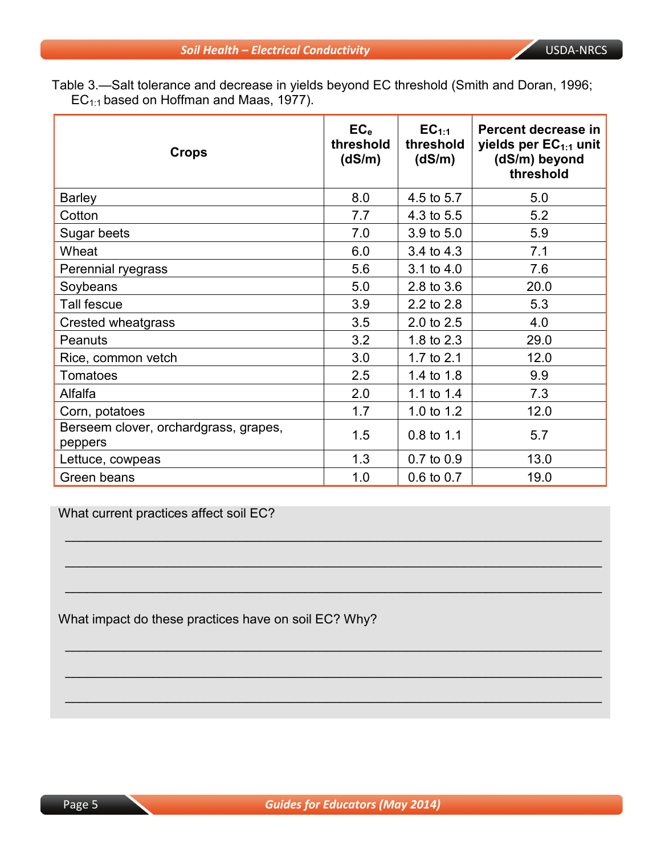Table 3.—Salt tolerance and decrease in yields beyond EC threshold (Smith and Doran, 1996;  $EC_{1:1}$  based on Hoffman and Maas, 1977).

| <b>Crops</b>                                     | EC <sub>e</sub><br>threshold<br>(dS/m) | EC <sub>1:1</sub><br>threshold<br>(dS/m) | Percent decrease in<br>yields per EC <sub>1:1</sub> unit<br>(dS/m) beyond<br>threshold |
|--------------------------------------------------|----------------------------------------|------------------------------------------|----------------------------------------------------------------------------------------|
| <b>Barley</b>                                    | 8.0                                    | 4.5 to 5.7                               | 5.0                                                                                    |
| Cotton                                           | 7.7                                    | 4.3 to 5.5                               | 5.2                                                                                    |
| Sugar beets                                      | 7.0                                    | 3.9 to 5.0                               | 5.9                                                                                    |
| Wheat                                            | 6.0                                    | 3.4 to 4.3                               | 7.1                                                                                    |
| Perennial ryegrass                               | 5.6                                    | $3.1$ to $4.0$                           | 7.6                                                                                    |
| Soybeans                                         | 5.0                                    | 2.8 to 3.6                               | 20.0                                                                                   |
| Tall fescue                                      | 3.9                                    | 2.2 to 2.8                               | 5.3                                                                                    |
| Crested wheatgrass                               | 3.5                                    | 2.0 to 2.5                               | 4.0                                                                                    |
| Peanuts                                          | 3.2                                    | 1.8 to 2.3                               | 29.0                                                                                   |
| Rice, common vetch                               | 3.0                                    | 1.7 to 2.1                               | 12.0                                                                                   |
| <b>Tomatoes</b>                                  | 2.5                                    | 1.4 to 1.8                               | 9.9                                                                                    |
| Alfalfa                                          | 2.0                                    | 1.1 to 1.4                               | 7.3                                                                                    |
| Corn, potatoes                                   | 1.7                                    | 1.0 to 1.2                               | 12.0                                                                                   |
| Berseem clover, orchardgrass, grapes,<br>peppers | 1.5                                    | 0.8 to 1.1                               | 5.7                                                                                    |
| Lettuce, cowpeas                                 | 1.3                                    | 0.7 to 0.9                               | 13.0                                                                                   |
| Green beans                                      | 1.0                                    | 0.6 to 0.7                               | 19.0                                                                                   |

 $\overline{\phantom{a}}$  , and the contribution of the contribution of the contribution of the contribution of the contribution of the contribution of the contribution of the contribution of the contribution of the contribution of the

 $\mathcal{L}_\text{max}$  and  $\mathcal{L}_\text{max}$  and  $\mathcal{L}_\text{max}$  and  $\mathcal{L}_\text{max}$  and  $\mathcal{L}_\text{max}$  and  $\mathcal{L}_\text{max}$ 

 $\mathcal{L}_\text{max}$  and  $\mathcal{L}_\text{max}$  and  $\mathcal{L}_\text{max}$  and  $\mathcal{L}_\text{max}$  and  $\mathcal{L}_\text{max}$  and  $\mathcal{L}_\text{max}$ 

 $\overline{\phantom{a}}$  , and the contribution of the contribution of the contribution of the contribution of the contribution of the contribution of the contribution of the contribution of the contribution of the contribution of the

 $\mathcal{L}_\text{max}$  and  $\mathcal{L}_\text{max}$  and  $\mathcal{L}_\text{max}$  and  $\mathcal{L}_\text{max}$  and  $\mathcal{L}_\text{max}$  and  $\mathcal{L}_\text{max}$ 

 $\mathcal{L}_\text{max}$  and  $\mathcal{L}_\text{max}$  and  $\mathcal{L}_\text{max}$  and  $\mathcal{L}_\text{max}$  and  $\mathcal{L}_\text{max}$  and  $\mathcal{L}_\text{max}$ 

What current practices affect soil EC?

What impact do these practices have on soil EC? Why?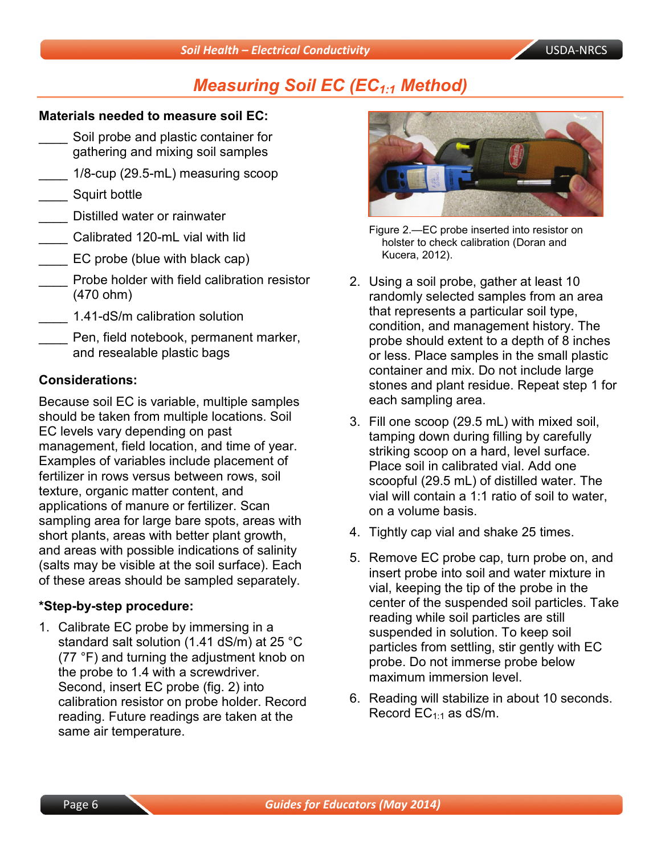# **Measuring Soil EC (EC<sub>1:1</sub> Method)**

#### **Materials needed to measure soil EC:**

- Soil probe and plastic container for gathering and mixing soil samples
- \_\_\_\_ 1/8-cup (29.5-mL) measuring scoop
- Squirt bottle
- \_\_\_\_ Distilled water or rainwater
- Calibrated 120-mL vial with lid
- \_\_\_\_ EC probe (blue with black cap)
- Probe holder with field calibration resistor (470 ohm)
- \_\_\_\_ 1.41-dS/m calibration solution
- Pen, field notebook, permanent marker, and resealable plastic bags

#### **Considerations:**

Because soil EC is variable, multiple samples should be taken from multiple locations. Soil EC levels vary depending on past management, field location, and time of year. Examples of variables include placement of fertilizer in rows versus between rows, soil texture, organic matter content, and applications of manure or fertilizer. Scan sampling area for large bare spots, areas with short plants, areas with better plant growth, and areas with possible indications of salinity (salts may be visible at the soil surface). Each of these areas should be sampled separately.

#### **\*Step-by-step procedure:**

1. Calibrate EC probe by immersing in a standard salt solution (1.41 dS/m) at 25 °C (77 °F) and turning the adjustment knob on the probe to 1.4 with a screwdriver. Second, insert EC probe (fig. 2) into calibration resistor on probe holder. Record reading. Future readings are taken at the same air temperature.



Figure 2.—EC probe inserted into resistor on holster to check calibration (Doran and Kucera, 2012).

- 2. Using a soil probe, gather at least 10 randomly selected samples from an area that represents a particular soil type, condition, and management history. The probe should extent to a depth of 8 inches or less. Place samples in the small plastic container and mix. Do not include large stones and plant residue. Repeat step 1 for each sampling area.
- 3. Fill one scoop (29.5 mL) with mixed soil, tamping down during filling by carefully striking scoop on a hard, level surface. Place soil in calibrated vial. Add one scoopful (29.5 mL) of distilled water. The vial will contain a 1:1 ratio of soil to water, on a volume basis.
- 4. Tightly cap vial and shake 25 times.
- 5. Remove EC probe cap, turn probe on, and insert probe into soil and water mixture in vial, keeping the tip of the probe in the center of the suspended soil particles. Take reading while soil particles are still suspended in solution. To keep soil particles from settling, stir gently with EC probe. Do not immerse probe below maximum immersion level.
- 6. Reading will stabilize in about 10 seconds. Record  $EC_{1:1}$  as dS/m.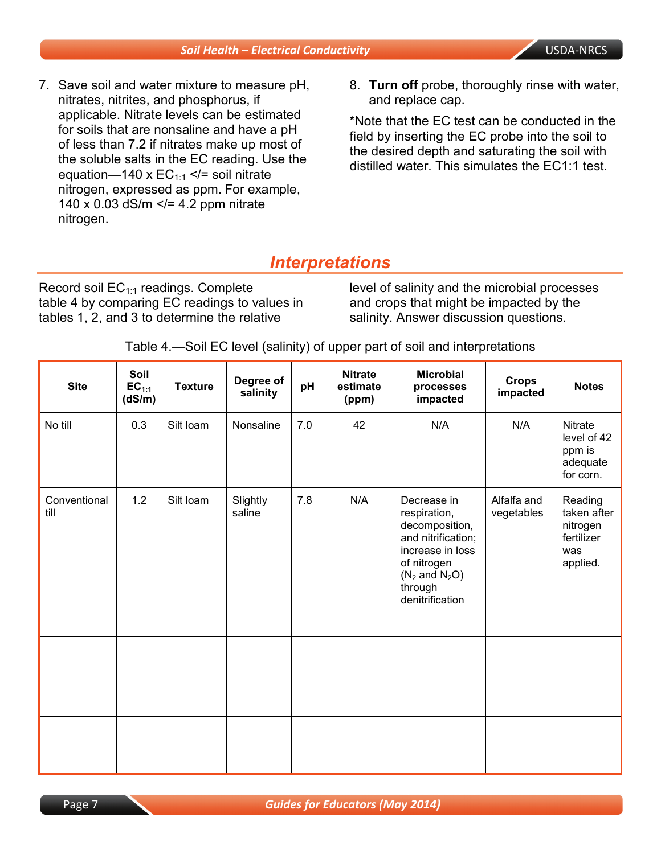#### *Soil Health – Electrical Conductivity* USDA-NRCS

- 7. Save soil and water mixture to measure pH, nitrates, nitrites, and phosphorus, if applicable. Nitrate levels can be estimated for soils that are nonsaline and have a pH of less than 7.2 if nitrates make up most of the soluble salts in the EC reading. Use the equation—140 x  $EC_{1:1}$  </= soil nitrate nitrogen, expressed as ppm. For example, 140 x 0.03 dS/m  $\le$ /= 4.2 ppm nitrate nitrogen.
- 8. **Turn off** probe, thoroughly rinse with water, and replace cap.

\*Note that the EC test can be conducted in the field by inserting the EC probe into the soil to the desired depth and saturating the soil with distilled water. This simulates the EC1:1 test.

## *Interpretations*

Record soil  $EC_{1:1}$  readings. Complete table 4 by comparing EC readings to values in tables 1, 2, and 3 to determine the relative

level of salinity and the microbial processes and crops that might be impacted by the salinity. Answer discussion questions.

| <b>Site</b>          | Soil<br>$EC_{1:1}$<br>(dS/m) | <b>Texture</b> | Degree of<br>salinity | pH  | <b>Nitrate</b><br>estimate<br>(ppm) | <b>Microbial</b><br>processes<br>impacted                                                                                                                         | <b>Crops</b><br>impacted  | <b>Notes</b>                                                        |
|----------------------|------------------------------|----------------|-----------------------|-----|-------------------------------------|-------------------------------------------------------------------------------------------------------------------------------------------------------------------|---------------------------|---------------------------------------------------------------------|
| No till              | 0.3                          | Silt loam      | Nonsaline             | 7.0 | 42                                  | N/A                                                                                                                                                               | N/A                       | Nitrate<br>level of 42<br>ppm is<br>adequate<br>for corn.           |
| Conventional<br>till | 1.2                          | Silt loam      | Slightly<br>saline    | 7.8 | N/A                                 | Decrease in<br>respiration,<br>decomposition,<br>and nitrification;<br>increase in loss<br>of nitrogen<br>$(N_2 \text{ and } N_2O)$<br>through<br>denitrification | Alfalfa and<br>vegetables | Reading<br>taken after<br>nitrogen<br>fertilizer<br>was<br>applied. |
|                      |                              |                |                       |     |                                     |                                                                                                                                                                   |                           |                                                                     |
|                      |                              |                |                       |     |                                     |                                                                                                                                                                   |                           |                                                                     |
|                      |                              |                |                       |     |                                     |                                                                                                                                                                   |                           |                                                                     |
|                      |                              |                |                       |     |                                     |                                                                                                                                                                   |                           |                                                                     |
|                      |                              |                |                       |     |                                     |                                                                                                                                                                   |                           |                                                                     |
|                      |                              |                |                       |     |                                     |                                                                                                                                                                   |                           |                                                                     |

Table 4.—Soil EC level (salinity) of upper part of soil and interpretations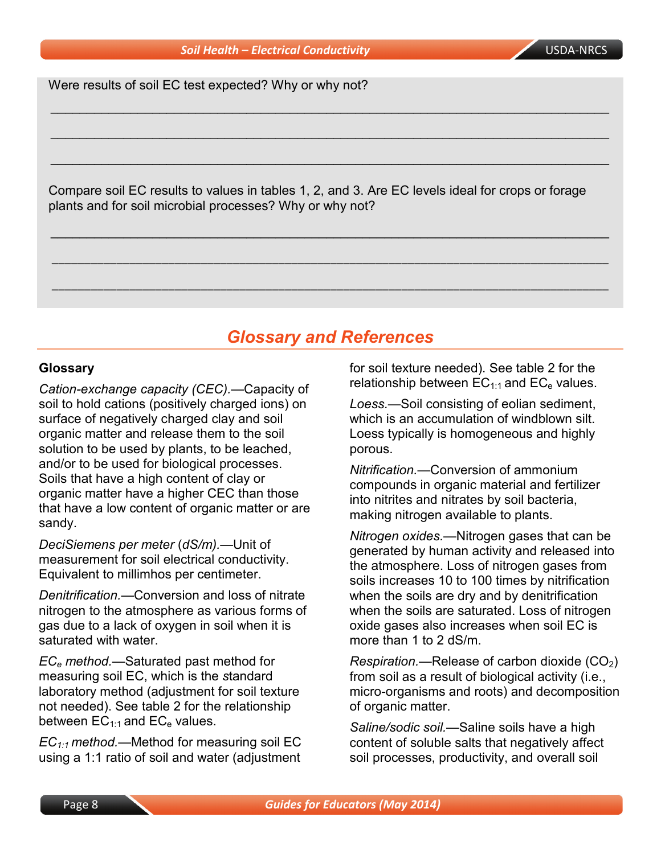Were results of soil EC test expected? Why or why not?

Compare soil EC results to values in tables 1, 2, and 3. Are EC levels ideal for crops or forage plants and for soil microbial processes? Why or why not?

\_\_\_\_\_\_\_\_\_\_\_\_\_\_\_\_\_\_\_\_\_\_\_\_\_\_\_\_\_\_\_\_\_\_\_\_\_\_\_\_\_\_\_\_\_\_\_\_\_\_\_\_\_\_\_\_\_\_\_\_\_\_\_\_\_\_\_\_\_\_\_\_\_\_\_\_\_

\_\_\_\_\_\_\_\_\_\_\_\_\_\_\_\_\_\_\_\_\_\_\_\_\_\_\_\_\_\_\_\_\_\_\_\_\_\_\_\_\_\_\_\_\_\_\_\_\_\_\_\_\_\_\_\_\_\_\_\_\_\_\_\_\_\_\_\_\_\_\_\_\_\_\_\_\_

\_\_\_\_\_\_\_\_\_\_\_\_\_\_\_\_\_\_\_\_\_\_\_\_\_\_\_\_\_\_\_\_\_\_\_\_\_\_\_\_\_\_\_\_\_\_\_\_\_\_\_\_\_\_\_\_\_\_\_\_\_\_\_\_\_\_\_\_\_\_\_\_\_\_\_\_\_

\_\_\_\_\_\_\_\_\_\_\_\_\_\_\_\_\_\_\_\_\_\_\_\_\_\_\_\_\_\_\_\_\_\_\_\_\_\_\_\_\_\_\_\_\_\_\_\_\_\_\_\_\_\_\_\_\_\_\_\_\_\_\_\_\_\_\_\_\_\_\_\_\_\_\_\_\_

\_\_\_\_\_\_\_\_\_\_\_\_\_\_\_\_\_\_\_\_\_\_\_\_\_\_\_\_\_\_\_\_\_\_\_\_\_\_\_\_\_\_\_\_\_\_\_\_\_\_\_\_\_\_\_\_\_\_\_\_\_\_\_\_\_\_\_\_\_\_\_\_\_\_\_\_\_\_\_\_\_\_\_\_\_\_

\_\_\_\_\_\_\_\_\_\_\_\_\_\_\_\_\_\_\_\_\_\_\_\_\_\_\_\_\_\_\_\_\_\_\_\_\_\_\_\_\_\_\_\_\_\_\_\_\_\_\_\_\_\_\_\_\_\_\_\_\_\_\_\_\_\_\_\_\_\_\_\_\_\_\_\_\_\_\_\_\_\_\_\_\_\_

# *Glossary and References*

#### **Glossary**

*Cation-exchange capacity (CEC).—*Capacity of soil to hold cations (positively charged ions) on surface of negatively charged clay and soil organic matter and release them to the soil solution to be used by plants, to be leached, and/or to be used for biological processes. Soils that have a high content of clay or organic matter have a higher CEC than those that have a low content of organic matter or are sandy.

*DeciSiemens per meter* (*dS/m).—*Unit of measurement for soil electrical conductivity. Equivalent to millimhos per centimeter.

*Denitrification.—*Conversion and loss of nitrate nitrogen to the atmosphere as various forms of gas due to a lack of oxygen in soil when it is saturated with water.

*ECe method.—*Saturated past method for measuring soil EC, which is the *s*tandard laboratory method (adjustment for soil texture not needed). See table 2 for the relationship between  $EC_{1:1}$  and  $EC_{e}$  values.

*EC1:1 method.—*Method for measuring soil EC using a 1:1 ratio of soil and water (adjustment for soil texture needed). See table 2 for the relationship between  $EC_{1:1}$  and  $EC_{e}$  values.

*Loess.—*Soil consisting of eolian sediment, which is an accumulation of windblown silt. Loess typically is homogeneous and highly porous.

*Nitrification.—*Conversion of ammonium compounds in organic material and fertilizer into nitrites and nitrates by soil bacteria, making nitrogen available to plants.

*Nitrogen oxides.—*Nitrogen gases that can be generated by human activity and released into the atmosphere. Loss of nitrogen gases from soils increases 10 to 100 times by nitrification when the soils are dry and by denitrification when the soils are saturated. Loss of nitrogen oxide gases also increases when soil EC is more than 1 to 2 dS/m.

*Respiration.—Release of carbon dioxide (CO<sub>2</sub>)* from soil as a result of biological activity (i.e., micro-organisms and roots) and decomposition of organic matter.

*Saline/sodic soil.—*Saline soils have a high content of soluble salts that negatively affect soil processes, productivity, and overall soil